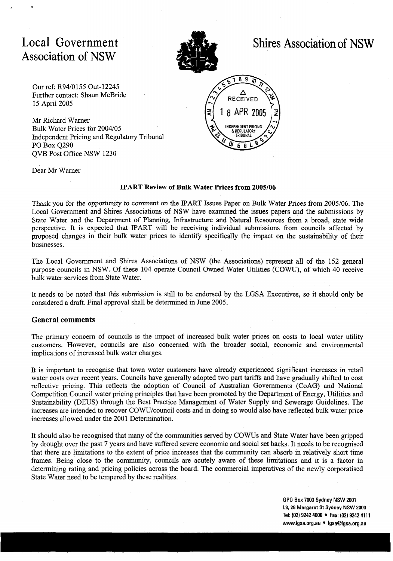# Local Government Association of NSW



# Shires Association of NSW

Our ref: R9410 155 Out-12245 Further contact: Shaun McBride 15 April 2005

Mr Richard Warner Bulk Water Prices for 2004/05 Independent Pricing and Regulatory Tribunal PO Box Q290 QVB Post Office NSW 1230



Dear Mr Warner

#### **IPART Review of Bulk Water Prices from 2005/06**

Thank you for the opportunity to comment on the IPART Issues Paper on Bulk Water Prices from 2005/06. The Local Government and Shires Associations of NSW have examined the issues papers and the submissions by State Water and the Department of Planning, Infrastructure and Natural Resources from a broad, state wide perspective. It is expected that IPART will be receiving individual submissions from councils affected by proposed changes in their bulk water prices to identify specifically the impact on the sustainability of their businesses.

The Local Government and Shires Associations of NSW (the Associations) represent all of the 152 general purpose councils in NSW. Of these 104 operate Council Owned Water Utilities (COW), of which 40 receive bulk water services from State Water.

It needs to be noted that this submission is still to be endorsed by the LGSA Executives, so it should only be considered a draft. Final approval shall be determined in June 2005.

#### **General comments**

The primary concern of councils is the impact of increased bulk water prices on costs to local water utility customers. However, councils are also concerned with the broader social, economic and environmental implications of increased bulk water charges.

It is important to recognise that town water customers have already experienced significant increases in retail water costs over recent years. Councils have generally adopted two part tariffs and have gradually shifted to cost reflective pricing. This reflects the adoption of Council of Australian Governments (CoAG) and National Competition Council water pricing principles that have been promoted by the Department of Energy, Utilities and Sustainability (DEUS) through the Best Practice Management of Water Supply and Sewerage Guidelines. The increases are intended to recover COWU/council costs and in doing so would also have reflected bulk water price increases allowed under the 2001 Determination.

It should also be recognised that many of the communities served by COWS and State Water have been gripped by drought over the past 7 years and have suffered severe economic and social set backs. It needs to be recognised that there are limitations to the extent of price increases that the community can absorb in relatively short time frames. Being close to the community, councils are acutely aware of these limitations and it is a factor in determining rating and pricing policies across the board. The commercial imperatives of the newly corporatised State Water need to be tempered by these realities.

> **GPO Box 7003 Sydney NSW 2001 L8, 28 Margaret St Sydney NSW 2000**  Tel: (02) 9242 4000 • Fax: (02) 9242 4111 www.igsa.org.au · igsa@igsa.org.au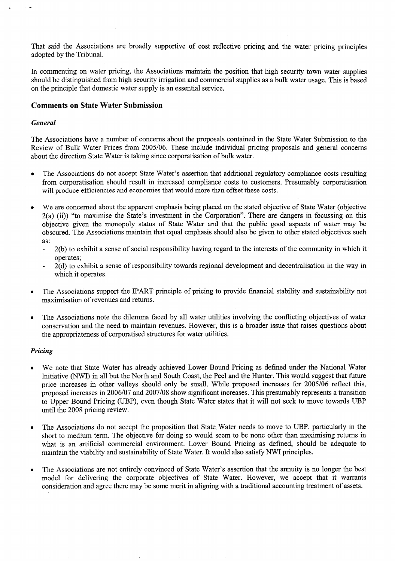That said the Associations are broadly supportive of cost reflective pricing and the water pricing principles adopted by the Tribunal.

In commenting on water pricing, the Associations maintain the position that high security town water supplies should be distinguished from high security irrigation and commercial supplies as a bulk water usage. This is based on the principle that domestic water supply is an essential service.

## **Comments on State Water Submission**

#### *General*

The Associations have a number of concerns about the proposals contained in the State Water Submission to the Review of Bulk Water Prices from *2005106.* These include individual pricing proposals and general concerns about the direction State Water is taking since corporatisation of bulk water.

- **0** The Associations do not accept State Water's assertion that additional regulatory compliance costs resulting from corporatisation should result in increased compliance costs to customers. Presumably corporatisation will produce efficiencies and economies that would more than offset these costs.
- We are concerned about the apparent emphasis being placed on the stated objective of State Water (objective 2(a) (ii)) "to maximise the State's investment in the Corporation". There are dangers in focussing on this objective given the monopoly status of State Water and that the public good aspects of water may be obscured. The Associations maintain that equal emphasis should also be given to other stated objectives such as:
	- 2(b) to exhibit a sense of social responsibility having regard to the interests of the community in which it
	- operates;<br>- 2(d) to exhibit a sense of responsibility towards regional development and decentralisation in the way in which it operates.
- The Associations support the IPART principle of pricing to provide financial stability and sustainability not maximisation of revenues and returns.
- **<sup>0</sup>**The Associations note the dilemma faced by all water utilities involving the conflicting objectives of water conservation and the need to maintain revenues. However, this is a broader issue that raises questions about the appropriateness of corporatised structures for water utilities.

#### *Pricing*

- We note that State Water has already achieved Lower Bound Pricing as defined under the National Water  $\bullet$ Initiative (NWI) in all but the North and South Coast, the Peel and the Hunter. This would suggest that future price increases in other valleys should only be small. While proposed increases for *2005106* reflect this, proposed increases in *2006107* and *2007108* show significant increases. This presumably represents a transition to Upper Bound Pricing (UBP), even though State Water states that it will not seek to move towards UBP until the *2008* pricing review.
- The Associations do not accept the proposition that State Water needs to move to UBP, particularly in the short to medium term. The objective for doing so would seem to be none other than maximising returns in what is an artificial commercial environment. Lower Bound Pricing as defined, should be adequate to maintain the viability and sustainability of State Water. It would also satisfy NWI principles.
- The Associations are not entirely convinced of State Water's assertion that the annuity is no longer the best model for delivering the corporate objectives of State Water. However, we accept that it warrants consideration and agree there may be some merit in aligning with a traditional accounting treatment of assets.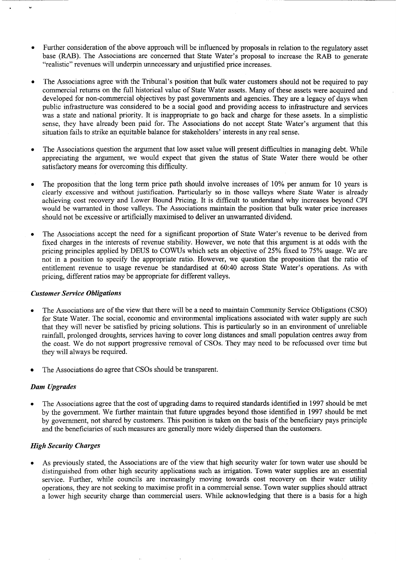- Further consideration of the above approach will be influenced by proposals in relation to the regulatory asset base (RAB). The Associations are concerned that State Water's proposal to increase the RAB to generate "realistic" revenues will underpin unnecessary and unjustified price increases.
- The Associations agree with the Tribunal's position that bulk water customers should not be required to pay commercial returns on the full historical value of State Water assets. Many of these assets were acquired and developed for non-commercial objectives by past governments and agencies. They are a legacy of days when public infrastructure was considered to be a social good and providing access to infrastructure and services was a state and national priority. It is inappropriate to go back and charge for these assets. In a simplistic sense, they have already been paid for. The Associations do not accept State Water's argument that this situation fails to strike an equitable balance for stakeholders' interests in any real sense.
- The Associations question the argument that low asset value will present difficulties in managing debt. While appreciating the argument, we would expect that given the status of State Water there would be other satisfactory means for overcoming this difficulty.
- The proposition that the long term price path should involve increases of 10% per annum for 10 years is  $\bullet$ clearly excessive and without justification. Particularly so in those valleys where State Water is already achieving cost recovery and Lower Bound Pricing. It is difficult to understand why increases beyond CPI would be warranted in those valleys. The Associations maintain the position that bulk water price increases should not be excessive or artificially maximised to deliver an unwarranted dividend.
- The Associations accept the need for a significant proportion of State Water's revenue to be derived from fixed charges in the interests of revenue stability. However, we note that this argument is at odds with the pricing principles applied by DEUS to COWUs which sets an objective of 25% fixed to 75% usage. We are not in a position to specify the appropriate ratio. However, we question the proposition that the ratio of entitlement revenue to usage revenue be standardised at 60:40 across State Water's operations. As with pricing, different ratios may be appropriate for different valleys.

#### *Customer Service Obligations*

- The Associations are of the view that there will be a need to maintain Community Service Obligations (CSO) for State Water. The social, economic and environmental implications associated with water supply are such that they will never be satisfied by pricing solutions. This is particularly so in an environment of unreliable rainfall, prolonged droughts, services having to cover long distances and small population centres away from the coast. We do not support progressive removal of CSOs. They may need to be refocussed over time but they will always be required.
- The Associations do agree that CSOs should be transparent.

# *Dam Upgrades*

The Associations agree that the cost of upgrading dams to required standards identified in 1997 should be met by the government. We further maintain that future upgrades beyond those identified in 1997 should be met by government, not shared by customers. This position is taken on the basis of the beneficiary pays principle and the beneficiaries of such measures are generally more widely dispersed than the customers.

# *High Security Charges*

As previously stated, the Associations are of the view that high security water for town water use should be distinguished from other high security applications such as irrigation. Town water supplies are an essential service. Further, while councils are increasingly moving towards cost recovery on their water utility operations, they are not seeking to maximise profit in a commercial sense. Town water supplies should attract a lower high security charge than commercial users. While acknowledging that there is a basis for a high